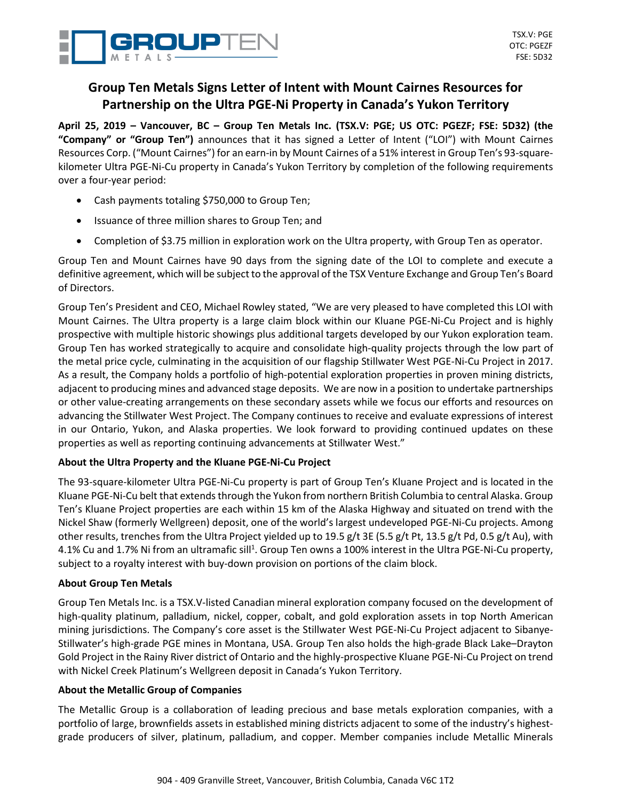

# **Group Ten Metals Signs Letter of Intent with Mount Cairnes Resources for Partnership on the Ultra PGE-Ni Property in Canada's Yukon Territory**

April 25, 2019 - Vancouver, BC - Group Ten Metals Inc. (TSX.V: PGE; US OTC: PGEZF; FSE: 5D32) (the **"Company" or "Group Ten")** announces that it has signed a Letter of Intent ("LOI") with Mount Cairnes Resources Corp. ("Mount Cairnes") for an earn-in by Mount Cairnes of a 51% interest in Group Ten's 93-squarekilometer Ultra PGE-Ni-Cu property in Canada's Yukon Territory by completion of the following requirements over a four-year period:

- Cash payments totaling \$750,000 to Group Ten;
- Issuance of three million shares to Group Ten; and
- Completion of \$3.75 million in exploration work on the Ultra property, with Group Ten as operator.

Group Ten and Mount Cairnes have 90 days from the signing date of the LOI to complete and execute a definitive agreement, which will be subject to the approval of the TSX Venture Exchange and Group Ten's Board of Directors.

Group Ten's President and CEO, Michael Rowley stated, "We are very pleased to have completed this LOI with Mount Cairnes. The Ultra property is a large claim block within our Kluane PGE-Ni-Cu Project and is highly prospective with multiple historic showings plus additional targets developed by our Yukon exploration team. Group Ten has worked strategically to acquire and consolidate high-quality projects through the low part of the metal price cycle, culminating in the acquisition of our flagship Stillwater West PGE-Ni-Cu Project in 2017. As a result, the Company holds a portfolio of high-potential exploration properties in proven mining districts, adjacent to producing mines and advanced stage deposits. We are now in a position to undertake partnerships or other value-creating arrangements on these secondary assets while we focus our efforts and resources on advancing the Stillwater West Project. The Company continues to receive and evaluate expressions of interest in our Ontario, Yukon, and Alaska properties. We look forward to providing continued updates on these properties as well as reporting continuing advancements at Stillwater West."

## **About the Ultra Property and the Kluane PGE-Ni-Cu Project**

The 93-square-kilometer Ultra PGE-Ni-Cu property is part of Group Ten's Kluane Project and is located in the Kluane PGE-Ni-Cu belt that extends through the Yukon from northern British Columbia to central Alaska. Group Ten's Kluane Project properties are each within 15 km of the Alaska Highway and situated on trend with the Nickel Shaw (formerly Wellgreen) deposit, one of the world's largest undeveloped PGE-Ni-Cu projects. Among other results, trenches from the Ultra Project yielded up to 19.5 g/t 3E (5.5 g/t Pt, 13.5 g/t Pd, 0.5 g/t Au), with 4.1% Cu and 1.7% Ni from an ultramafic sill<sup>1</sup>. Group Ten owns a 100% interest in the Ultra PGE-Ni-Cu property, subject to a royalty interest with buy-down provision on portions of the claim block.

## **About Group Ten Metals**

Group Ten Metals Inc. is a TSX.V-listed Canadian mineral exploration company focused on the development of high-quality platinum, palladium, nickel, copper, cobalt, and gold exploration assets in top North American mining jurisdictions. The Company's core asset is the Stillwater West PGE-Ni-Cu Project adjacent to Sibanye-Stillwater's high-grade PGE mines in Montana, USA. Group Ten also holds the high-grade Black Lake–Drayton Gold Project in the Rainy River district of Ontario and the highly-prospective Kluane PGE-Ni-Cu Project on trend with Nickel Creek Platinum's Wellgreen deposit in Canada's Yukon Territory.

## **About the Metallic Group of Companies**

The Metallic Group is a collaboration of leading precious and base metals exploration companies, with a portfolio of large, brownfields assets in established mining districts adjacent to some of the industry's highestgrade producers of silver, platinum, palladium, and copper. Member companies include Metallic Minerals